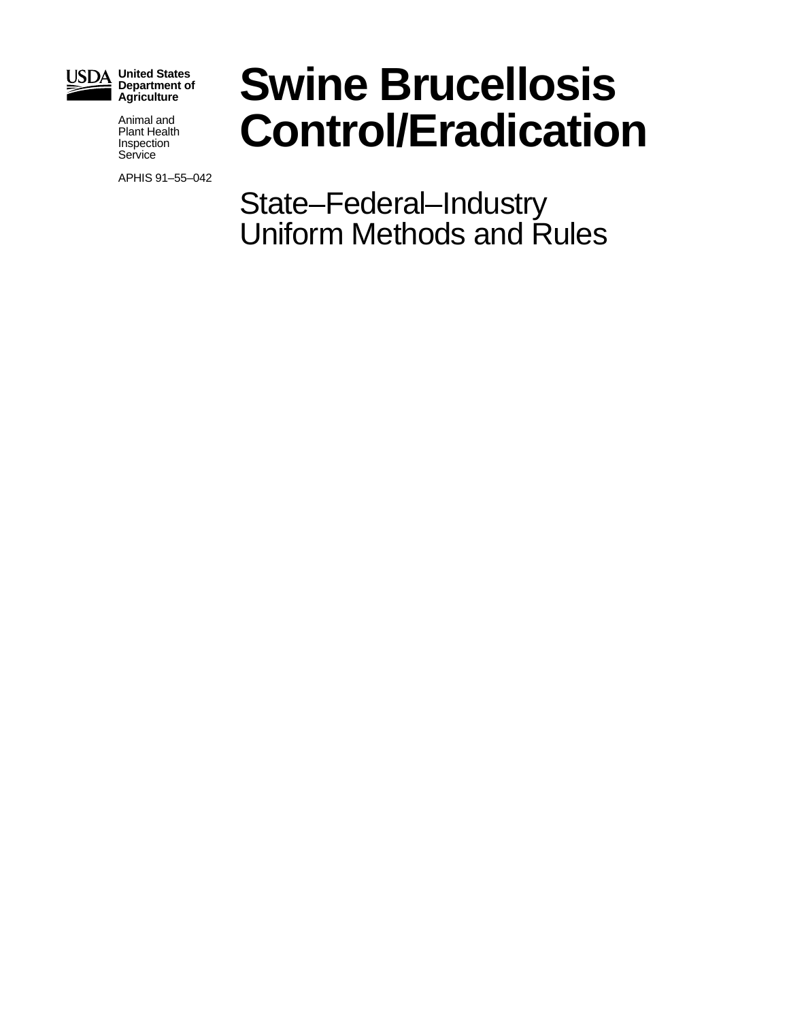

**United States Department of Agriculture**

> Animal and Plant Health Inspection **Service**

APHIS 91–55–042

# **Swine Brucellosis Control/Eradication**

State–Federal–Industry Uniform Methods and Rules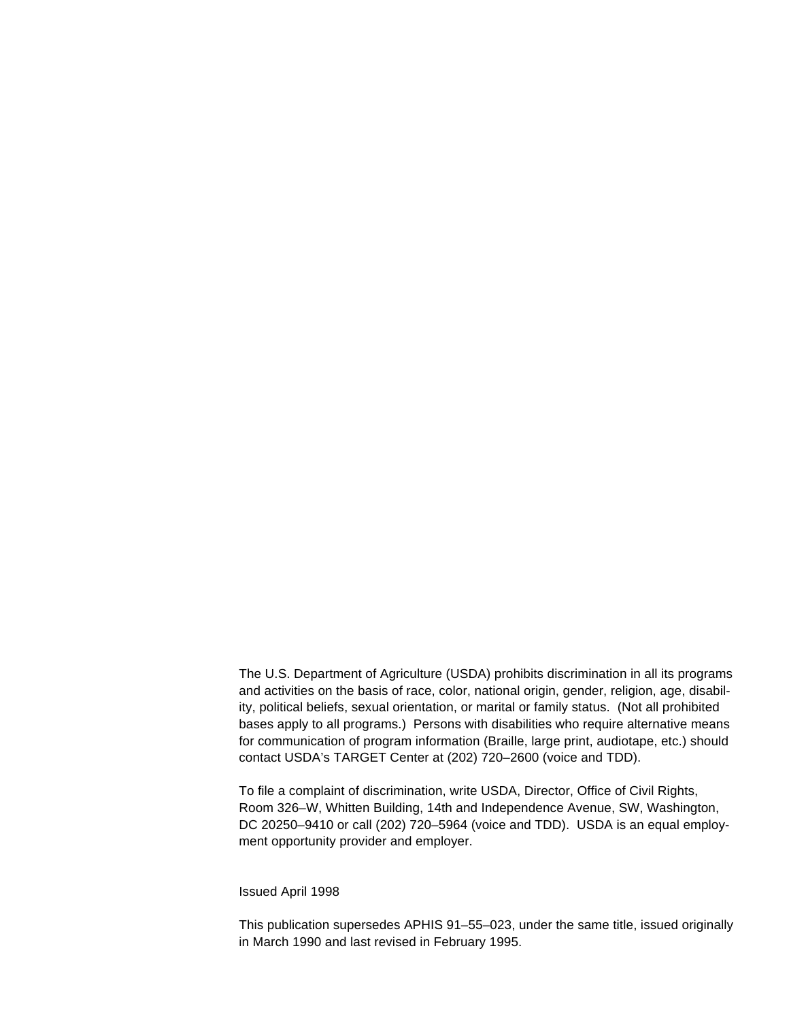The U.S. Department of Agriculture (USDA) prohibits discrimination in all its programs and activities on the basis of race, color, national origin, gender, religion, age, disability, political beliefs, sexual orientation, or marital or family status. (Not all prohibited bases apply to all programs.) Persons with disabilities who require alternative means for communication of program information (Braille, large print, audiotape, etc.) should contact USDA's TARGET Center at (202) 720–2600 (voice and TDD).

To file a complaint of discrimination, write USDA, Director, Office of Civil Rights, Room 326–W, Whitten Building, 14th and Independence Avenue, SW, Washington, DC 20250–9410 or call (202) 720–5964 (voice and TDD). USDA is an equal employment opportunity provider and employer.

#### Issued April 1998

This publication supersedes APHIS 91–55–023, under the same title, issued originally in March 1990 and last revised in February 1995.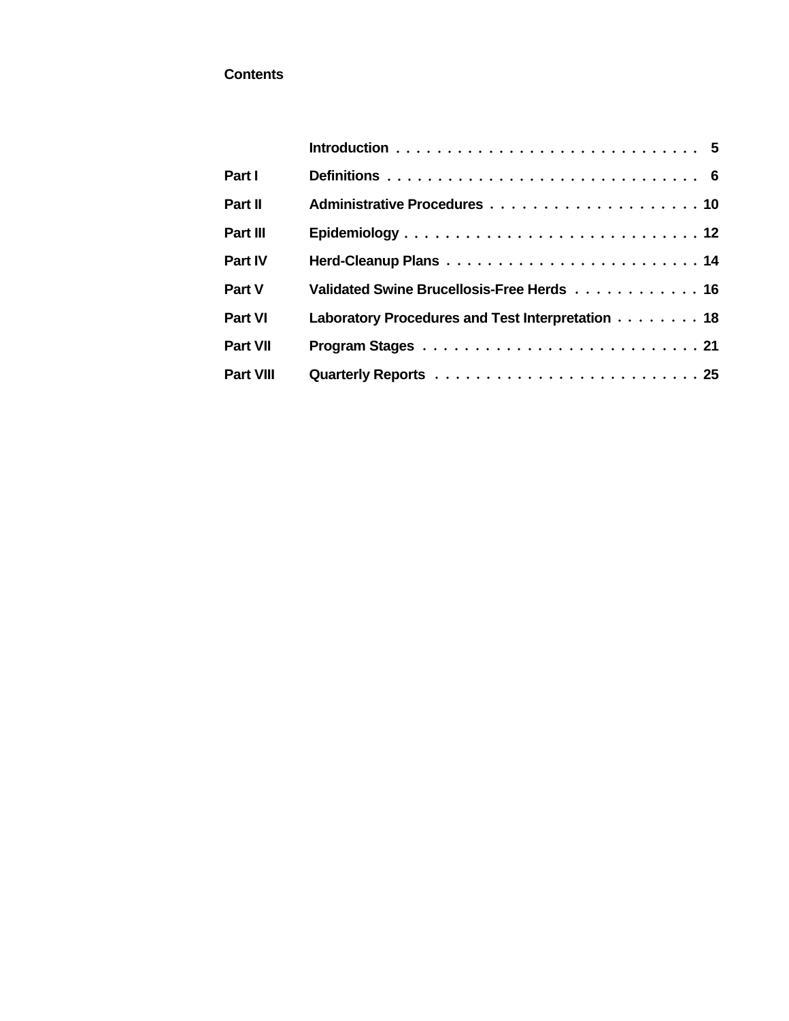## **Contents**

| Part I           |                                                  |
|------------------|--------------------------------------------------|
| Part II          |                                                  |
| Part III         |                                                  |
| <b>Part IV</b>   |                                                  |
| Part V           | Validated Swine Brucellosis-Free Herds 16        |
| <b>Part VI</b>   | Laboratory Procedures and Test Interpretation 18 |
| <b>Part VII</b>  |                                                  |
| <b>Part VIII</b> |                                                  |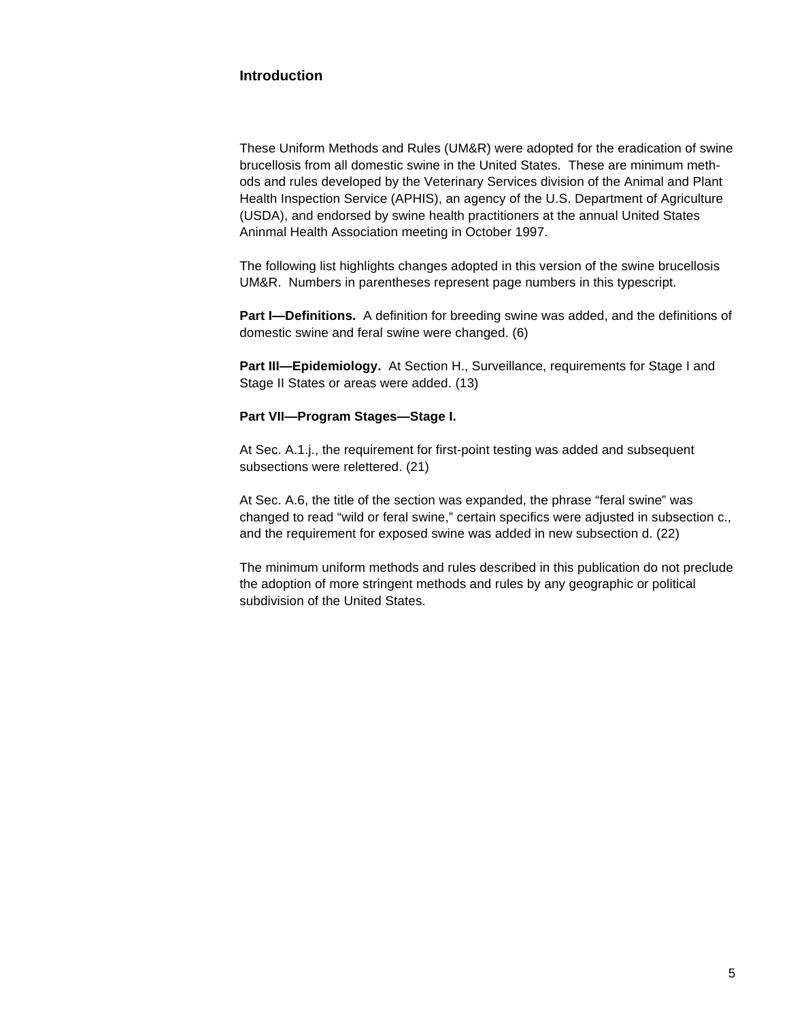## **Introduction**

These Uniform Methods and Rules (UM&R) were adopted for the eradication of swine brucellosis from all domestic swine in the United States. These are minimum methods and rules developed by the Veterinary Services division of the Animal and Plant Health Inspection Service (APHIS), an agency of the U.S. Department of Agriculture (USDA), and endorsed by swine health practitioners at the annual United States Aninmal Health Association meeting in October 1997.

The following list highlights changes adopted in this version of the swine brucellosis UM&R. Numbers in parentheses represent page numbers in this typescript.

**Part I—Definitions.** A definition for breeding swine was added, and the definitions of domestic swine and feral swine were changed. (6)

**Part III—Epidemiology.** At Section H., Surveillance, requirements for Stage I and Stage II States or areas were added. (13)

#### **Part VII—Program Stages—Stage I.**

At Sec. A.1.j., the requirement for first-point testing was added and subsequent subsections were relettered. (21)

At Sec. A.6, the title of the section was expanded, the phrase "feral swine" was changed to read "wild or feral swine," certain specifics were adjusted in subsection c., and the requirement for exposed swine was added in new subsection d. (22)

The minimum uniform methods and rules described in this publication do not preclude the adoption of more stringent methods and rules by any geographic or political subdivision of the United States.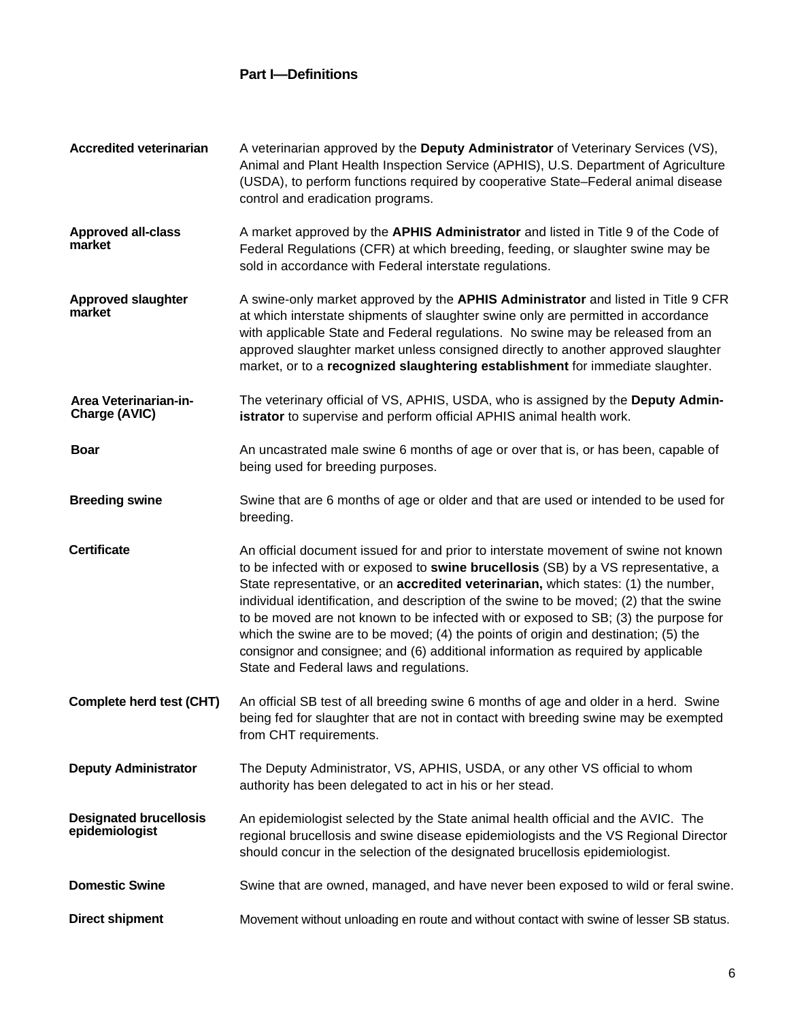# **Part I—Definitions**

| <b>Accredited veterinarian</b>                  | A veterinarian approved by the Deputy Administrator of Veterinary Services (VS),<br>Animal and Plant Health Inspection Service (APHIS), U.S. Department of Agriculture<br>(USDA), to perform functions required by cooperative State-Federal animal disease<br>control and eradication programs.                                                                                                                                 |
|-------------------------------------------------|----------------------------------------------------------------------------------------------------------------------------------------------------------------------------------------------------------------------------------------------------------------------------------------------------------------------------------------------------------------------------------------------------------------------------------|
| <b>Approved all-class</b><br>market             | A market approved by the APHIS Administrator and listed in Title 9 of the Code of<br>Federal Regulations (CFR) at which breeding, feeding, or slaughter swine may be<br>sold in accordance with Federal interstate regulations.                                                                                                                                                                                                  |
| <b>Approved slaughter</b><br>market             | A swine-only market approved by the APHIS Administrator and listed in Title 9 CFR<br>at which interstate shipments of slaughter swine only are permitted in accordance<br>with applicable State and Federal regulations. No swine may be released from an<br>approved slaughter market unless consigned directly to another approved slaughter<br>market, or to a recognized slaughtering establishment for immediate slaughter. |
| Area Veterinarian-in-<br>Charge (AVIC)          | The veterinary official of VS, APHIS, USDA, who is assigned by the Deputy Admin-<br>istrator to supervise and perform official APHIS animal health work.                                                                                                                                                                                                                                                                         |
| <b>Boar</b>                                     | An uncastrated male swine 6 months of age or over that is, or has been, capable of<br>being used for breeding purposes.                                                                                                                                                                                                                                                                                                          |
| <b>Breeding swine</b>                           | Swine that are 6 months of age or older and that are used or intended to be used for<br>breeding.                                                                                                                                                                                                                                                                                                                                |
| <b>Certificate</b>                              | An official document issued for and prior to interstate movement of swine not known<br>to be infected with or exposed to swine brucellosis (SB) by a VS representative, a<br>State representative, or an accredited veterinarian, which states: (1) the number,<br>individual identification, and description of the swine to be moved; (2) that the swine                                                                       |
|                                                 | to be moved are not known to be infected with or exposed to SB; (3) the purpose for<br>which the swine are to be moved; (4) the points of origin and destination; (5) the<br>consignor and consignee; and (6) additional information as required by applicable<br>State and Federal laws and regulations.                                                                                                                        |
| Complete herd test (CHT)                        | An official SB test of all breeding swine 6 months of age and older in a herd. Swine<br>being fed for slaughter that are not in contact with breeding swine may be exempted<br>from CHT requirements.                                                                                                                                                                                                                            |
| <b>Deputy Administrator</b>                     | The Deputy Administrator, VS, APHIS, USDA, or any other VS official to whom<br>authority has been delegated to act in his or her stead.                                                                                                                                                                                                                                                                                          |
| <b>Designated brucellosis</b><br>epidemiologist | An epidemiologist selected by the State animal health official and the AVIC. The<br>regional brucellosis and swine disease epidemiologists and the VS Regional Director<br>should concur in the selection of the designated brucellosis epidemiologist.                                                                                                                                                                          |
| <b>Domestic Swine</b>                           | Swine that are owned, managed, and have never been exposed to wild or feral swine.                                                                                                                                                                                                                                                                                                                                               |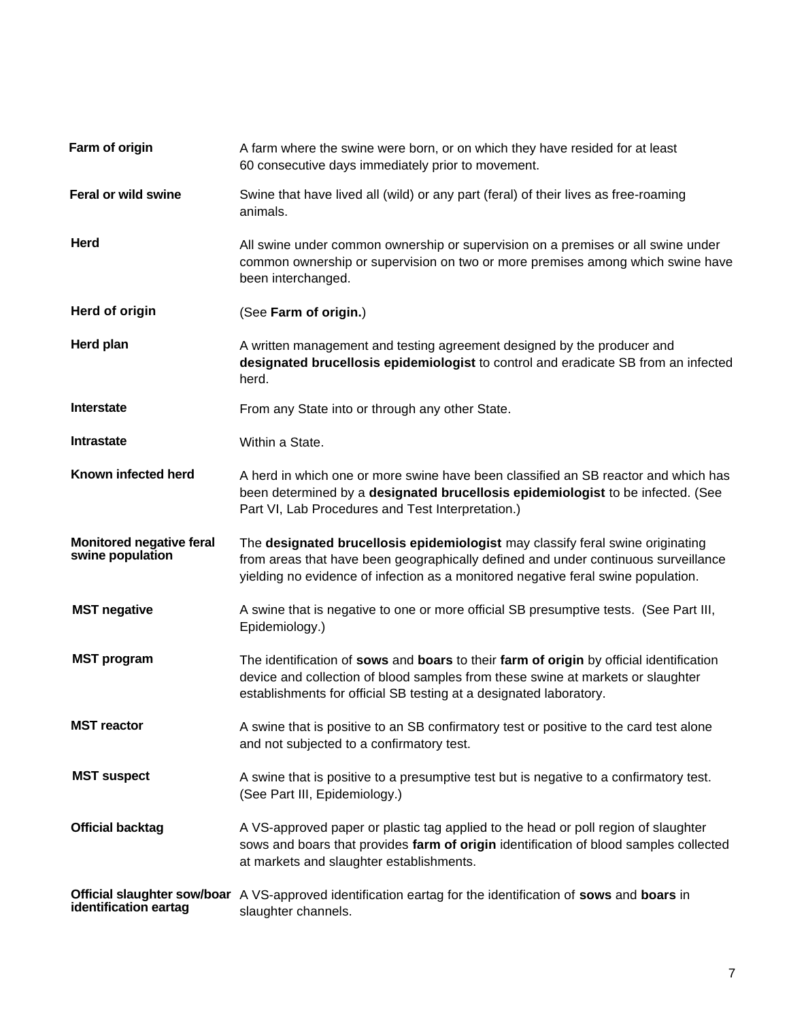| Farm of origin                                      | A farm where the swine were born, or on which they have resided for at least<br>60 consecutive days immediately prior to movement.                                                                                                                        |  |  |
|-----------------------------------------------------|-----------------------------------------------------------------------------------------------------------------------------------------------------------------------------------------------------------------------------------------------------------|--|--|
| Feral or wild swine                                 | Swine that have lived all (wild) or any part (feral) of their lives as free-roaming<br>animals.                                                                                                                                                           |  |  |
| Herd                                                | All swine under common ownership or supervision on a premises or all swine under<br>common ownership or supervision on two or more premises among which swine have<br>been interchanged.                                                                  |  |  |
| Herd of origin                                      | (See Farm of origin.)                                                                                                                                                                                                                                     |  |  |
| Herd plan                                           | A written management and testing agreement designed by the producer and<br>designated brucellosis epidemiologist to control and eradicate SB from an infected<br>herd.                                                                                    |  |  |
| Interstate                                          | From any State into or through any other State.                                                                                                                                                                                                           |  |  |
| <b>Intrastate</b>                                   | Within a State.                                                                                                                                                                                                                                           |  |  |
| Known infected herd                                 | A herd in which one or more swine have been classified an SB reactor and which has<br>been determined by a designated brucellosis epidemiologist to be infected. (See<br>Part VI, Lab Procedures and Test Interpretation.)                                |  |  |
| <b>Monitored negative feral</b><br>swine population | The designated brucellosis epidemiologist may classify feral swine originating<br>from areas that have been geographically defined and under continuous surveillance<br>yielding no evidence of infection as a monitored negative feral swine population. |  |  |
| <b>MST negative</b>                                 | A swine that is negative to one or more official SB presumptive tests. (See Part III,<br>Epidemiology.)                                                                                                                                                   |  |  |
| <b>MST</b> program                                  | The identification of sows and boars to their farm of origin by official identification<br>device and collection of blood samples from these swine at markets or slaughter<br>establishments for official SB testing at a designated laboratory.          |  |  |
| <b>MST</b> reactor                                  | A swine that is positive to an SB confirmatory test or positive to the card test alone<br>and not subjected to a confirmatory test.                                                                                                                       |  |  |
| <b>MST suspect</b>                                  | A swine that is positive to a presumptive test but is negative to a confirmatory test.<br>(See Part III, Epidemiology.)                                                                                                                                   |  |  |
| <b>Official backtag</b>                             | A VS-approved paper or plastic tag applied to the head or poll region of slaughter<br>sows and boars that provides farm of origin identification of blood samples collected<br>at markets and slaughter establishments.                                   |  |  |
| identification eartag                               | Official slaughter sow/boar A VS-approved identification eartag for the identification of sows and boars in<br>slaughter channels.                                                                                                                        |  |  |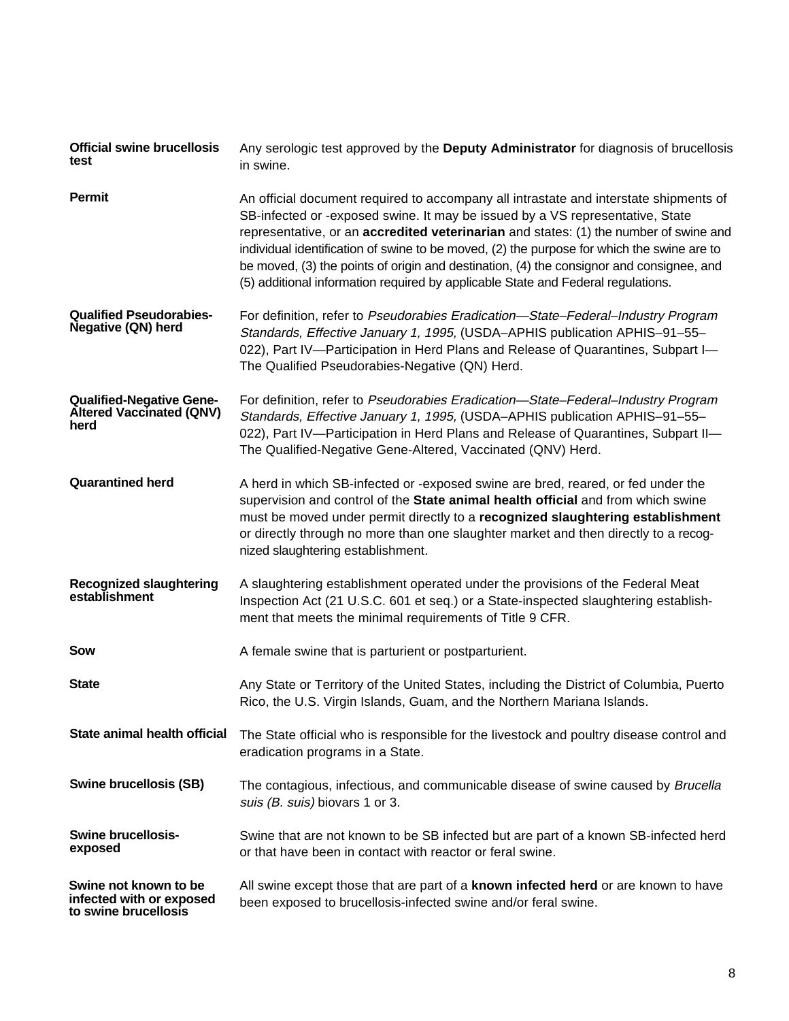| <b>Official swine brucellosis</b><br>test                                  | Any serologic test approved by the Deputy Administrator for diagnosis of brucellosis<br>in swine.                                                                                                                                                                                                                                                                                                                                                                                                                                             |  |
|----------------------------------------------------------------------------|-----------------------------------------------------------------------------------------------------------------------------------------------------------------------------------------------------------------------------------------------------------------------------------------------------------------------------------------------------------------------------------------------------------------------------------------------------------------------------------------------------------------------------------------------|--|
| Permit                                                                     | An official document required to accompany all intrastate and interstate shipments of<br>SB-infected or -exposed swine. It may be issued by a VS representative, State<br>representative, or an accredited veterinarian and states: (1) the number of swine and<br>individual identification of swine to be moved, (2) the purpose for which the swine are to<br>be moved, (3) the points of origin and destination, (4) the consignor and consignee, and<br>(5) additional information required by applicable State and Federal regulations. |  |
| <b>Qualified Pseudorabies-</b><br><b>Negative (QN) herd</b>                | For definition, refer to Pseudorabies Eradication-State-Federal-Industry Program<br>Standards, Effective January 1, 1995, (USDA-APHIS publication APHIS-91-55-<br>022), Part IV-Participation in Herd Plans and Release of Quarantines, Subpart I-<br>The Qualified Pseudorabies-Negative (QN) Herd.                                                                                                                                                                                                                                          |  |
| <b>Qualified-Negative Gene-</b><br><b>Altered Vaccinated (QNV)</b><br>herd | For definition, refer to Pseudorabies Eradication-State-Federal-Industry Program<br>Standards, Effective January 1, 1995, (USDA-APHIS publication APHIS-91-55-<br>022), Part IV-Participation in Herd Plans and Release of Quarantines, Subpart II-<br>The Qualified-Negative Gene-Altered, Vaccinated (QNV) Herd.                                                                                                                                                                                                                            |  |
| <b>Quarantined herd</b>                                                    | A herd in which SB-infected or -exposed swine are bred, reared, or fed under the<br>supervision and control of the State animal health official and from which swine<br>must be moved under permit directly to a recognized slaughtering establishment<br>or directly through no more than one slaughter market and then directly to a recog-<br>nized slaughtering establishment.                                                                                                                                                            |  |
| <b>Recognized slaughtering</b><br>establishment                            | A slaughtering establishment operated under the provisions of the Federal Meat<br>Inspection Act (21 U.S.C. 601 et seq.) or a State-inspected slaughtering establish-<br>ment that meets the minimal requirements of Title 9 CFR.                                                                                                                                                                                                                                                                                                             |  |
| Sow                                                                        | A female swine that is parturient or postparturient.                                                                                                                                                                                                                                                                                                                                                                                                                                                                                          |  |
| <b>State</b>                                                               | Any State or Territory of the United States, including the District of Columbia, Puerto<br>Rico, the U.S. Virgin Islands, Guam, and the Northern Mariana Islands.                                                                                                                                                                                                                                                                                                                                                                             |  |
| State animal health official                                               | The State official who is responsible for the livestock and poultry disease control and<br>eradication programs in a State.                                                                                                                                                                                                                                                                                                                                                                                                                   |  |
| <b>Swine brucellosis (SB)</b>                                              | The contagious, infectious, and communicable disease of swine caused by Brucella<br>suis (B. suis) biovars 1 or 3.                                                                                                                                                                                                                                                                                                                                                                                                                            |  |
| <b>Swine brucellosis-</b><br>exposed                                       | Swine that are not known to be SB infected but are part of a known SB-infected herd<br>or that have been in contact with reactor or feral swine.                                                                                                                                                                                                                                                                                                                                                                                              |  |
| Swine not known to be<br>infected with or exposed<br>to swine brucellosis  | All swine except those that are part of a <b>known infected herd</b> or are known to have<br>been exposed to brucellosis-infected swine and/or feral swine.                                                                                                                                                                                                                                                                                                                                                                                   |  |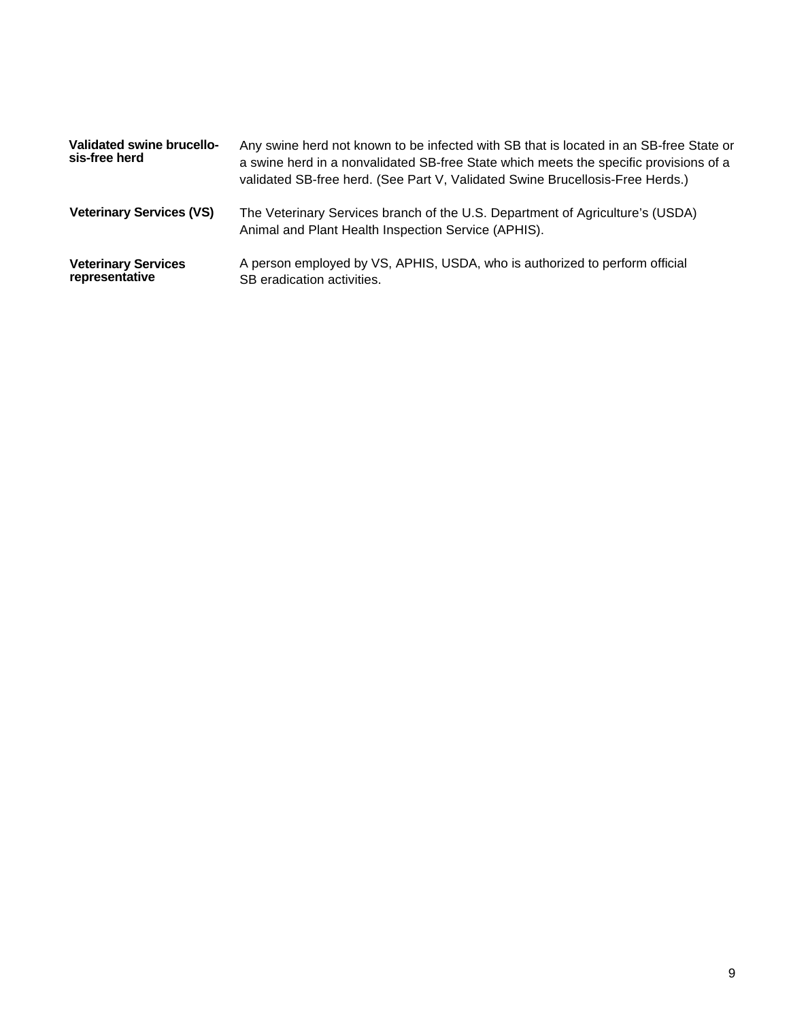| Validated swine brucello-<br>sis-free herd   | Any swine herd not known to be infected with SB that is located in an SB-free State or<br>a swine herd in a nonvalidated SB-free State which meets the specific provisions of a<br>validated SB-free herd. (See Part V, Validated Swine Brucellosis-Free Herds.) |
|----------------------------------------------|------------------------------------------------------------------------------------------------------------------------------------------------------------------------------------------------------------------------------------------------------------------|
| <b>Veterinary Services (VS)</b>              | The Veterinary Services branch of the U.S. Department of Agriculture's (USDA)<br>Animal and Plant Health Inspection Service (APHIS).                                                                                                                             |
| <b>Veterinary Services</b><br>representative | A person employed by VS, APHIS, USDA, who is authorized to perform official<br>SB eradication activities.                                                                                                                                                        |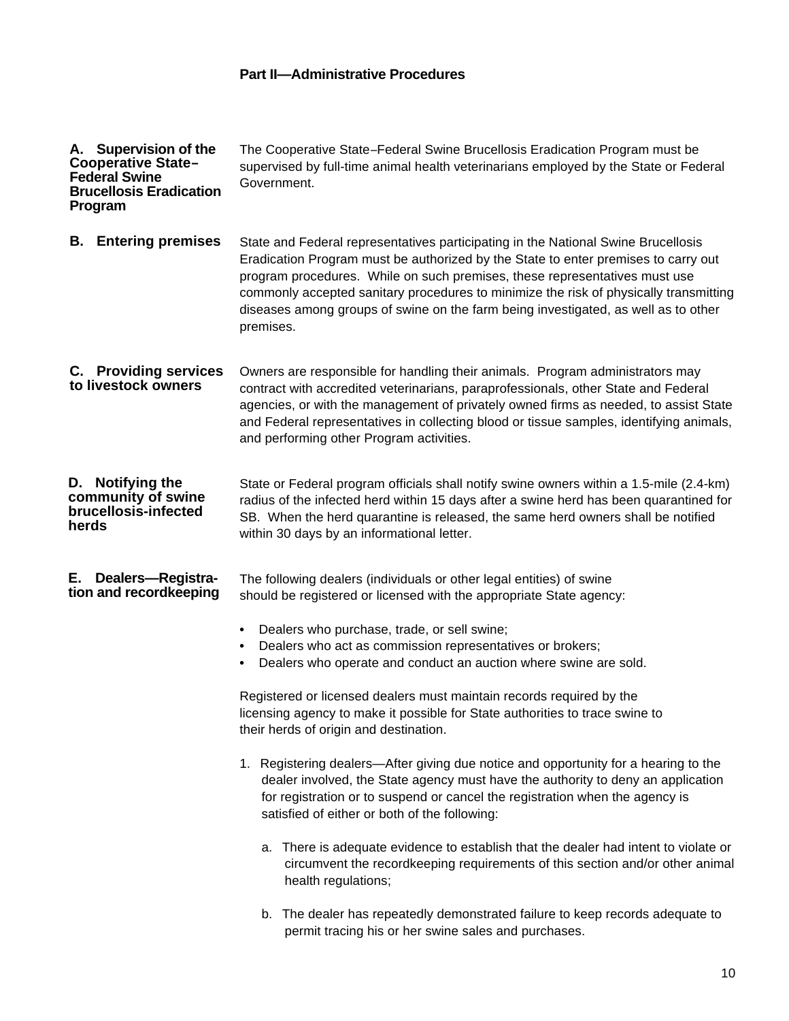# **Part II—Administrative Procedures**

| A. Supervision of the<br><b>Cooperative State-</b><br><b>Federal Swine</b><br><b>Brucellosis Eradication</b><br>Program | The Cooperative State-Federal Swine Brucellosis Eradication Program must be<br>supervised by full-time animal health veterinarians employed by the State or Federal<br>Government.                                                                                                                                                                                                                                                                                                                                                                                                                                                                                                                                                                                                                                                                                                                                                                                                                                                                              |  |  |  |
|-------------------------------------------------------------------------------------------------------------------------|-----------------------------------------------------------------------------------------------------------------------------------------------------------------------------------------------------------------------------------------------------------------------------------------------------------------------------------------------------------------------------------------------------------------------------------------------------------------------------------------------------------------------------------------------------------------------------------------------------------------------------------------------------------------------------------------------------------------------------------------------------------------------------------------------------------------------------------------------------------------------------------------------------------------------------------------------------------------------------------------------------------------------------------------------------------------|--|--|--|
| <b>Entering premises</b><br>В.                                                                                          | State and Federal representatives participating in the National Swine Brucellosis<br>Eradication Program must be authorized by the State to enter premises to carry out<br>program procedures. While on such premises, these representatives must use<br>commonly accepted sanitary procedures to minimize the risk of physically transmitting<br>diseases among groups of swine on the farm being investigated, as well as to other<br>premises.                                                                                                                                                                                                                                                                                                                                                                                                                                                                                                                                                                                                               |  |  |  |
| C. Providing services<br>to livestock owners                                                                            | Owners are responsible for handling their animals. Program administrators may<br>contract with accredited veterinarians, paraprofessionals, other State and Federal<br>agencies, or with the management of privately owned firms as needed, to assist State<br>and Federal representatives in collecting blood or tissue samples, identifying animals,<br>and performing other Program activities.                                                                                                                                                                                                                                                                                                                                                                                                                                                                                                                                                                                                                                                              |  |  |  |
| D. Notifying the<br>community of swine<br>brucellosis-infected<br>herds                                                 | State or Federal program officials shall notify swine owners within a 1.5-mile (2.4-km)<br>radius of the infected herd within 15 days after a swine herd has been quarantined for<br>SB. When the herd quarantine is released, the same herd owners shall be notified<br>within 30 days by an informational letter.                                                                                                                                                                                                                                                                                                                                                                                                                                                                                                                                                                                                                                                                                                                                             |  |  |  |
| E. Dealers-Registra-<br>tion and recordkeeping                                                                          | The following dealers (individuals or other legal entities) of swine<br>should be registered or licensed with the appropriate State agency:<br>Dealers who purchase, trade, or sell swine;<br>$\bullet$<br>Dealers who act as commission representatives or brokers;<br>٠<br>Dealers who operate and conduct an auction where swine are sold.<br>٠<br>Registered or licensed dealers must maintain records required by the<br>licensing agency to make it possible for State authorities to trace swine to<br>their herds of origin and destination.<br>1. Registering dealers-After giving due notice and opportunity for a hearing to the<br>dealer involved, the State agency must have the authority to deny an application<br>for registration or to suspend or cancel the registration when the agency is<br>satisfied of either or both of the following:<br>a. There is adequate evidence to establish that the dealer had intent to violate or<br>circumvent the recordkeeping requirements of this section and/or other animal<br>health regulations; |  |  |  |
|                                                                                                                         | b. The dealer has repeatedly demonstrated failure to keep records adequate to<br>permit tracing his or her swine sales and purchases.                                                                                                                                                                                                                                                                                                                                                                                                                                                                                                                                                                                                                                                                                                                                                                                                                                                                                                                           |  |  |  |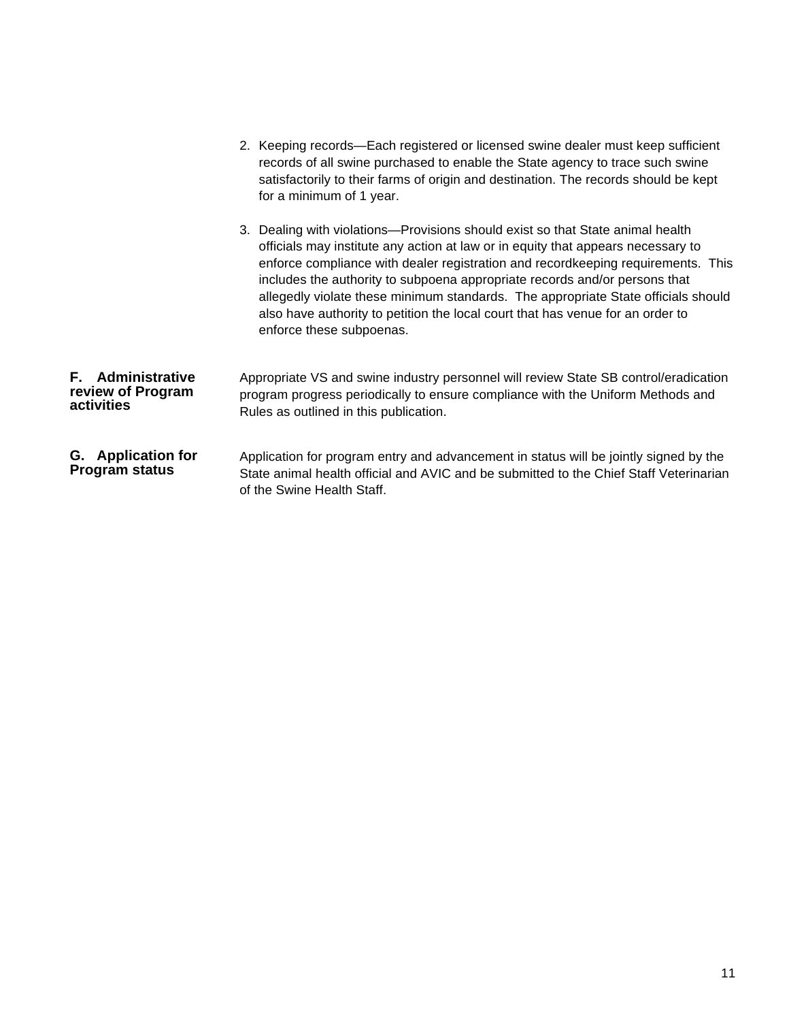|                                                             | 2. Keeping records—Each registered or licensed swine dealer must keep sufficient<br>records of all swine purchased to enable the State agency to trace such swine<br>satisfactorily to their farms of origin and destination. The records should be kept<br>for a minimum of 1 year.                                                                                                                                                                                                                                                    |
|-------------------------------------------------------------|-----------------------------------------------------------------------------------------------------------------------------------------------------------------------------------------------------------------------------------------------------------------------------------------------------------------------------------------------------------------------------------------------------------------------------------------------------------------------------------------------------------------------------------------|
|                                                             | 3. Dealing with violations—Provisions should exist so that State animal health<br>officials may institute any action at law or in equity that appears necessary to<br>enforce compliance with dealer registration and recordkeeping requirements. This<br>includes the authority to subpoena appropriate records and/or persons that<br>allegedly violate these minimum standards. The appropriate State officials should<br>also have authority to petition the local court that has venue for an order to<br>enforce these subpoenas. |
| <b>F.</b> Administrative<br>review of Program<br>activities | Appropriate VS and swine industry personnel will review State SB control/eradication<br>program progress periodically to ensure compliance with the Uniform Methods and<br>Rules as outlined in this publication.                                                                                                                                                                                                                                                                                                                       |
| G. Application for<br><b>Program status</b>                 | Application for program entry and advancement in status will be jointly signed by the<br>State animal health official and AVIC and be submitted to the Chief Staff Veterinarian<br>of the Swine Health Staff.                                                                                                                                                                                                                                                                                                                           |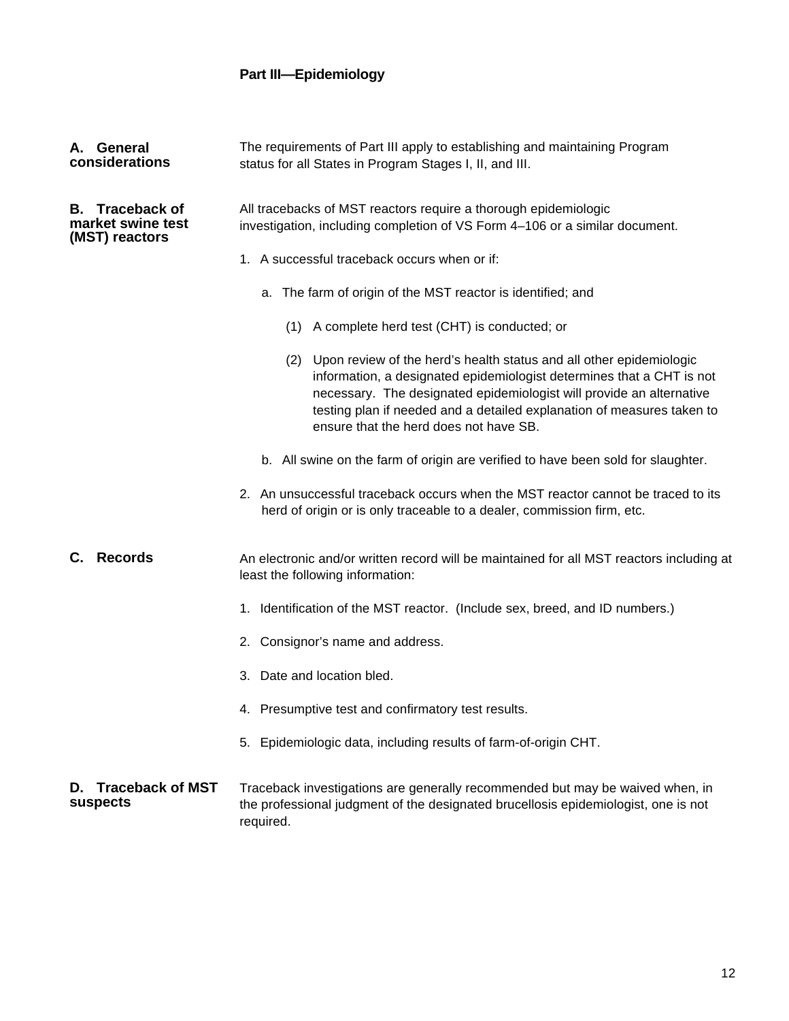# **Part III—Epidemiology**

| A. General<br>considerations                                  | The requirements of Part III apply to establishing and maintaining Program<br>status for all States in Program Stages I, II, and III.                                                                                                                                                                                                        |  |  |  |  |
|---------------------------------------------------------------|----------------------------------------------------------------------------------------------------------------------------------------------------------------------------------------------------------------------------------------------------------------------------------------------------------------------------------------------|--|--|--|--|
| <b>B.</b> Traceback of<br>market swine test<br>(MST) reactors | All tracebacks of MST reactors require a thorough epidemiologic<br>investigation, including completion of VS Form 4-106 or a similar document.                                                                                                                                                                                               |  |  |  |  |
|                                                               | 1. A successful traceback occurs when or if:                                                                                                                                                                                                                                                                                                 |  |  |  |  |
|                                                               | a. The farm of origin of the MST reactor is identified; and                                                                                                                                                                                                                                                                                  |  |  |  |  |
|                                                               | (1) A complete herd test (CHT) is conducted; or                                                                                                                                                                                                                                                                                              |  |  |  |  |
|                                                               | (2) Upon review of the herd's health status and all other epidemiologic<br>information, a designated epidemiologist determines that a CHT is not<br>necessary. The designated epidemiologist will provide an alternative<br>testing plan if needed and a detailed explanation of measures taken to<br>ensure that the herd does not have SB. |  |  |  |  |
|                                                               | b. All swine on the farm of origin are verified to have been sold for slaughter.                                                                                                                                                                                                                                                             |  |  |  |  |
|                                                               | 2. An unsuccessful traceback occurs when the MST reactor cannot be traced to its<br>herd of origin or is only traceable to a dealer, commission firm, etc.                                                                                                                                                                                   |  |  |  |  |
| <b>Records</b><br>С.                                          | An electronic and/or written record will be maintained for all MST reactors including at<br>least the following information:                                                                                                                                                                                                                 |  |  |  |  |
|                                                               | 1. Identification of the MST reactor. (Include sex, breed, and ID numbers.)                                                                                                                                                                                                                                                                  |  |  |  |  |
|                                                               | 2. Consignor's name and address.                                                                                                                                                                                                                                                                                                             |  |  |  |  |
|                                                               | 3. Date and location bled.                                                                                                                                                                                                                                                                                                                   |  |  |  |  |
|                                                               | 4. Presumptive test and confirmatory test results.                                                                                                                                                                                                                                                                                           |  |  |  |  |
|                                                               | 5. Epidemiologic data, including results of farm-of-origin CHT.                                                                                                                                                                                                                                                                              |  |  |  |  |
| <b>Traceback of MST</b><br>D.<br>suspects                     | Traceback investigations are generally recommended but may be waived when, in<br>the professional judgment of the designated brucellosis epidemiologist, one is not<br>required.                                                                                                                                                             |  |  |  |  |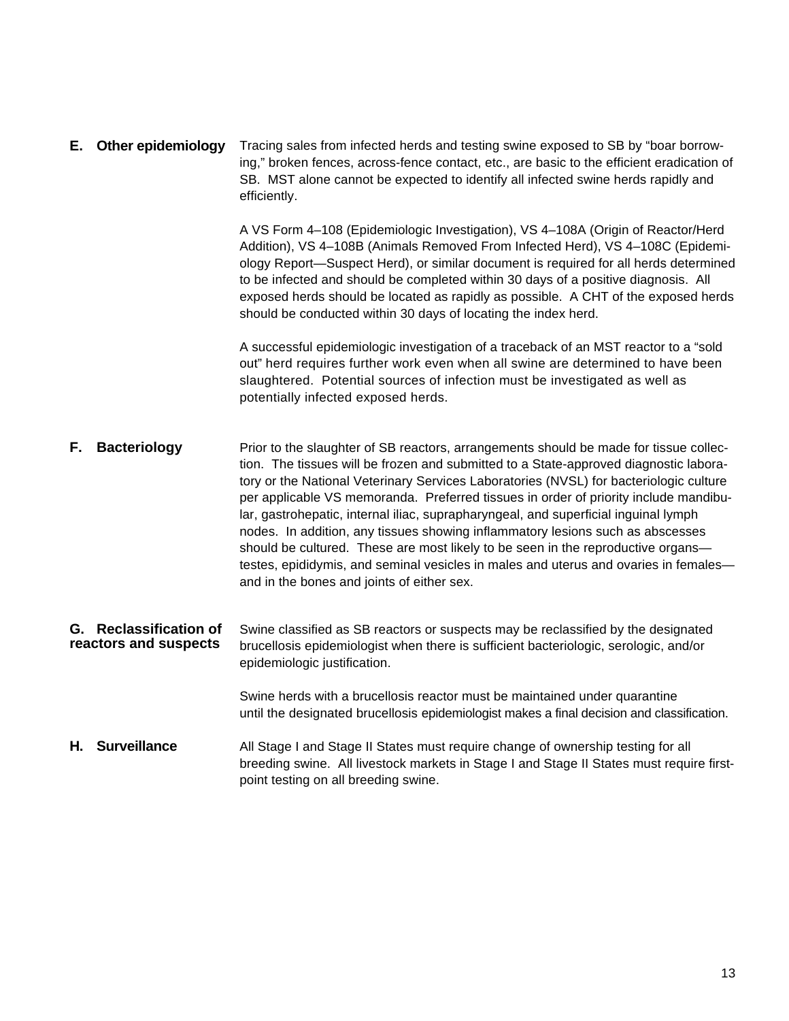Tracing sales from infected herds and testing swine exposed to SB by "boar borrowing," broken fences, across-fence contact, etc., are basic to the efficient eradication of SB. MST alone cannot be expected to identify all infected swine herds rapidly and efficiently. **E. Other epidemiology**

> A VS Form 4–108 (Epidemiologic Investigation), VS 4–108A (Origin of Reactor/Herd Addition), VS 4–108B (Animals Removed From Infected Herd), VS 4–108C (Epidemiology Report—Suspect Herd), or similar document is required for all herds determined to be infected and should be completed within 30 days of a positive diagnosis. All exposed herds should be located as rapidly as possible. A CHT of the exposed herds should be conducted within 30 days of locating the index herd.

A successful epidemiologic investigation of a traceback of an MST reactor to a "sold out" herd requires further work even when all swine are determined to have been slaughtered. Potential sources of infection must be investigated as well as potentially infected exposed herds.

- Prior to the slaughter of SB reactors, arrangements should be made for tissue collection. The tissues will be frozen and submitted to a State-approved diagnostic laboratory or the National Veterinary Services Laboratories (NVSL) for bacteriologic culture per applicable VS memoranda. Preferred tissues in order of priority include mandibular, gastrohepatic, internal iliac, suprapharyngeal, and superficial inguinal lymph nodes. In addition, any tissues showing inflammatory lesions such as abscesses should be cultured. These are most likely to be seen in the reproductive organs testes, epididymis, and seminal vesicles in males and uterus and ovaries in females and in the bones and joints of either sex. **F. Bacteriology**
- Swine classified as SB reactors or suspects may be reclassified by the designated brucellosis epidemiologist when there is sufficient bacteriologic, serologic, and/or epidemiologic justification. **G. Reclassification of reactors and suspects**

Swine herds with a brucellosis reactor must be maintained under quarantine until the designated brucellosis epidemiologist makes a final decision and classification.

All Stage I and Stage II States must require change of ownership testing for all breeding swine. All livestock markets in Stage I and Stage II States must require firstpoint testing on all breeding swine. **H. Surveillance**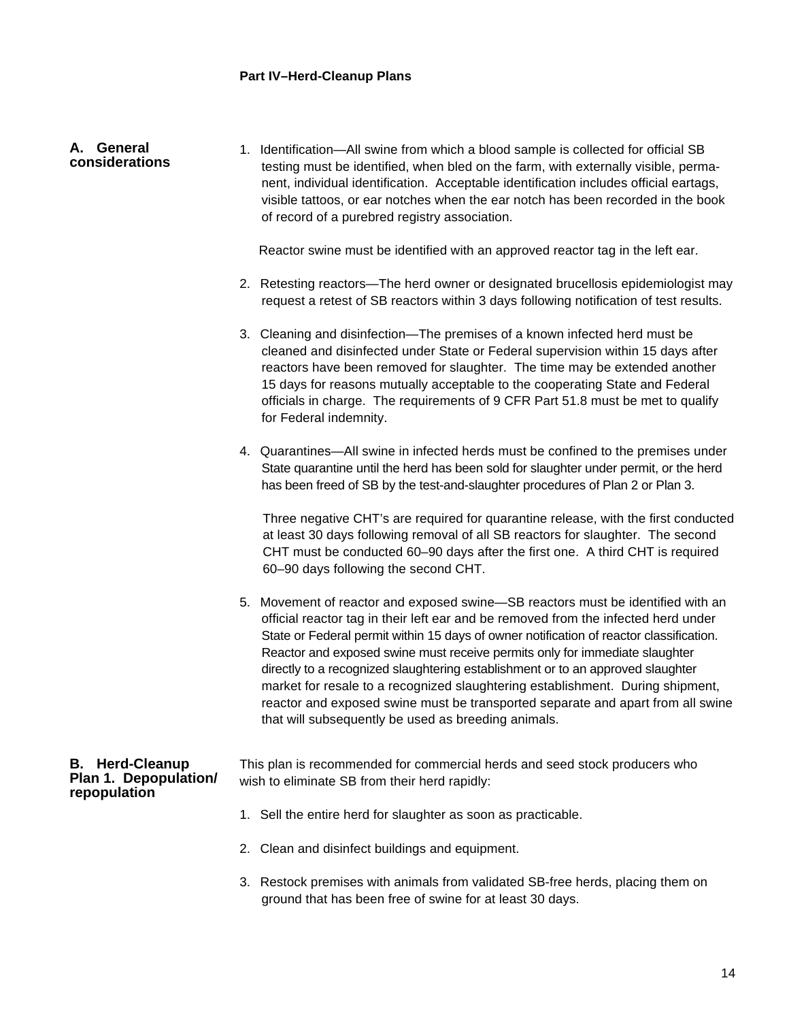#### 1. Identification—All swine from which a blood sample is collected for official SB testing must be identified, when bled on the farm, with externally visible, permanent, individual identification. Acceptable identification includes official eartags, visible tattoos, or ear notches when the ear notch has been recorded in the book of record of a purebred registry association. **A. General considerations**

Reactor swine must be identified with an approved reactor tag in the left ear.

- 2. Retesting reactors—The herd owner or designated brucellosis epidemiologist may request a retest of SB reactors within 3 days following notification of test results.
- 3. Cleaning and disinfection—The premises of a known infected herd must be cleaned and disinfected under State or Federal supervision within 15 days after reactors have been removed for slaughter. The time may be extended another 15 days for reasons mutually acceptable to the cooperating State and Federal officials in charge. The requirements of 9 CFR Part 51.8 must be met to qualify for Federal indemnity.
- 4. Quarantines—All swine in infected herds must be confined to the premises under State quarantine until the herd has been sold for slaughter under permit, or the herd has been freed of SB by the test-and-slaughter procedures of Plan 2 or Plan 3.

Three negative CHT's are required for quarantine release, with the first conducted at least 30 days following removal of all SB reactors for slaughter. The second CHT must be conducted 60–90 days after the first one. A third CHT is required 60–90 days following the second CHT.

5. Movement of reactor and exposed swine—SB reactors must be identified with an official reactor tag in their left ear and be removed from the infected herd under State or Federal permit within 15 days of owner notification of reactor classification. Reactor and exposed swine must receive permits only for immediate slaughter directly to a recognized slaughtering establishment or to an approved slaughter market for resale to a recognized slaughtering establishment. During shipment, reactor and exposed swine must be transported separate and apart from all swine that will subsequently be used as breeding animals.

#### **B. Herd-Cleanup Plan 1. Depopulation/ repopulation**

This plan is recommended for commercial herds and seed stock producers who wish to eliminate SB from their herd rapidly:

- 1. Sell the entire herd for slaughter as soon as practicable.
- 2. Clean and disinfect buildings and equipment.
- 3. Restock premises with animals from validated SB-free herds, placing them on ground that has been free of swine for at least 30 days.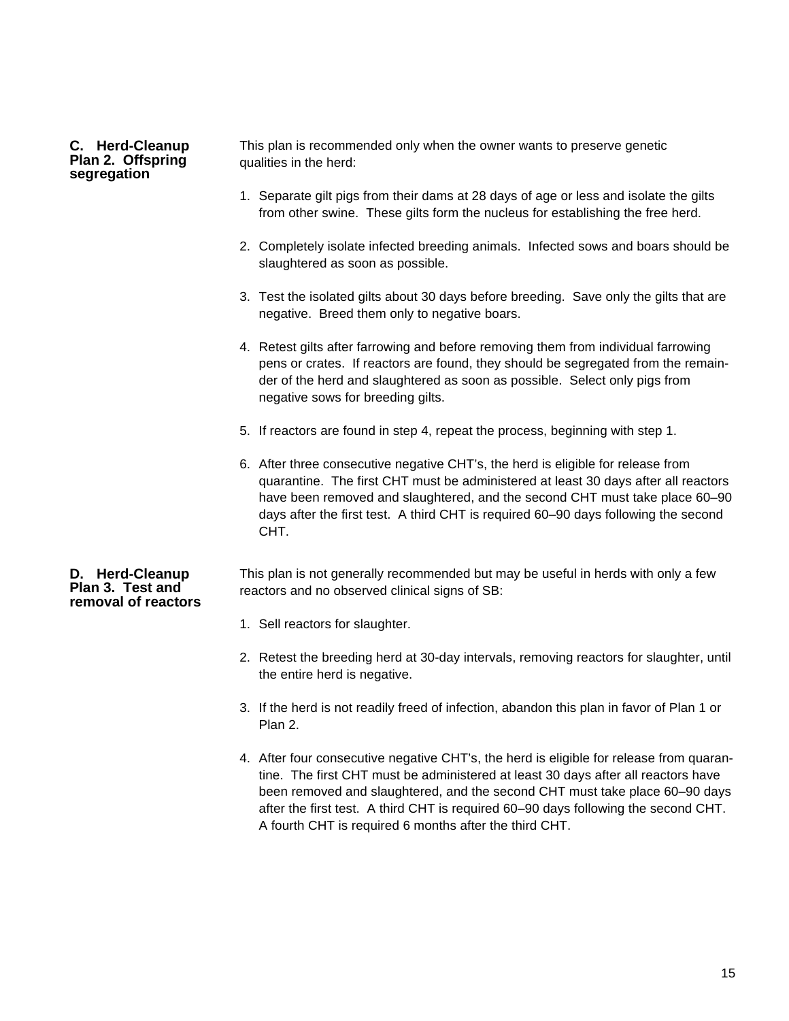#### **C. Herd-Cleanup Plan 2. Offspring segregation**

This plan is recommended only when the owner wants to preserve genetic qualities in the herd:

- 1. Separate gilt pigs from their dams at 28 days of age or less and isolate the gilts from other swine. These gilts form the nucleus for establishing the free herd.
- 2. Completely isolate infected breeding animals. Infected sows and boars should be slaughtered as soon as possible.
- 3. Test the isolated gilts about 30 days before breeding. Save only the gilts that are negative. Breed them only to negative boars.
- 4. Retest gilts after farrowing and before removing them from individual farrowing pens or crates. If reactors are found, they should be segregated from the remainder of the herd and slaughtered as soon as possible. Select only pigs from negative sows for breeding gilts.
- 5. If reactors are found in step 4, repeat the process, beginning with step 1.
- 6. After three consecutive negative CHT's, the herd is eligible for release from quarantine. The first CHT must be administered at least 30 days after all reactors have been removed and slaughtered, and the second CHT must take place 60–90 days after the first test. A third CHT is required 60–90 days following the second CHT.

#### **D. Herd-Cleanup Plan 3. Test and removal of reactors**

This plan is not generally recommended but may be useful in herds with only a few reactors and no observed clinical signs of SB:

- 1. Sell reactors for slaughter.
- 2. Retest the breeding herd at 30-day intervals, removing reactors for slaughter, until the entire herd is negative.
- 3. If the herd is not readily freed of infection, abandon this plan in favor of Plan 1 or Plan 2.
- 4. After four consecutive negative CHT's, the herd is eligible for release from quarantine. The first CHT must be administered at least 30 days after all reactors have been removed and slaughtered, and the second CHT must take place 60–90 days after the first test. A third CHT is required 60–90 days following the second CHT. A fourth CHT is required 6 months after the third CHT.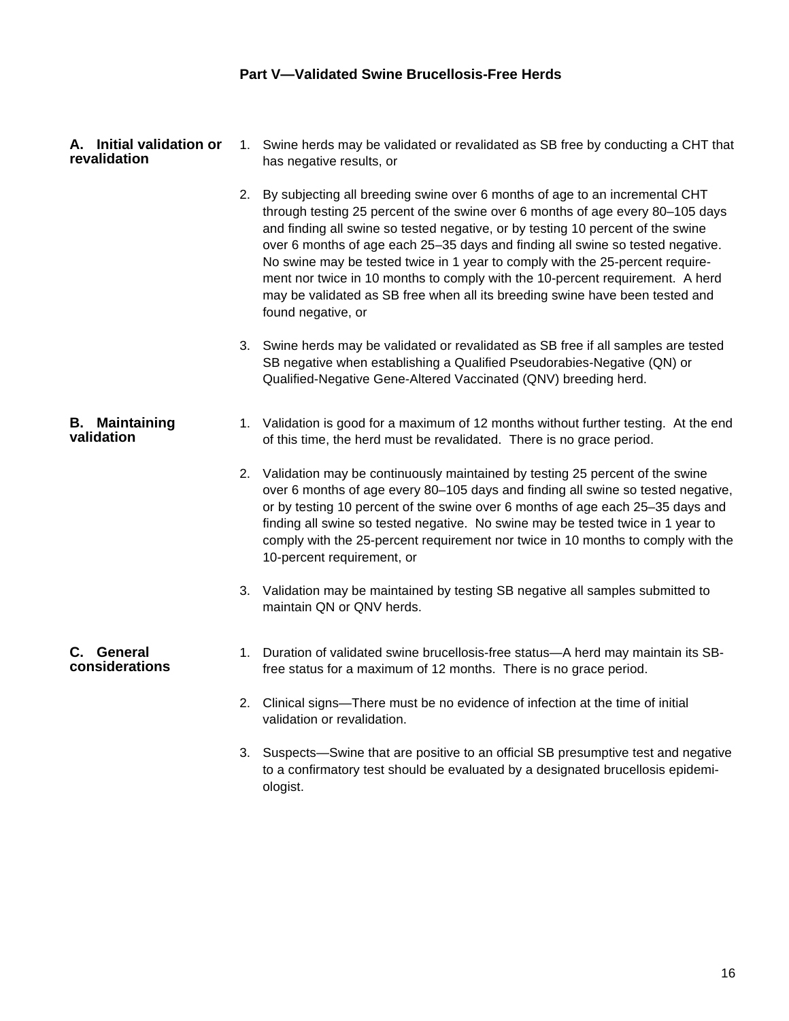| A. Initial validation or | 1. Swine herds may be validated or revalidated as SB free by conducting a CHT that |
|--------------------------|------------------------------------------------------------------------------------|
| revalidation             | has negative results, or                                                           |

- 2. By subjecting all breeding swine over 6 months of age to an incremental CHT through testing 25 percent of the swine over 6 months of age every 80–105 days and finding all swine so tested negative, or by testing 10 percent of the swine over 6 months of age each 25–35 days and finding all swine so tested negative. No swine may be tested twice in 1 year to comply with the 25-percent requirement nor twice in 10 months to comply with the 10-percent requirement. A herd may be validated as SB free when all its breeding swine have been tested and found negative, or
- 3. Swine herds may be validated or revalidated as SB free if all samples are tested SB negative when establishing a Qualified Pseudorabies-Negative (QN) or Qualified-Negative Gene-Altered Vaccinated (QNV) breeding herd.

#### 1. Validation is good for a maximum of 12 months without further testing. At the end of this time, the herd must be revalidated. There is no grace period. **B. Maintaining validation**

- 2. Validation may be continuously maintained by testing 25 percent of the swine over 6 months of age every 80–105 days and finding all swine so tested negative, or by testing 10 percent of the swine over 6 months of age each 25–35 days and finding all swine so tested negative. No swine may be tested twice in 1 year to comply with the 25-percent requirement nor twice in 10 months to comply with the 10-percent requirement, or
- 3. Validation may be maintained by testing SB negative all samples submitted to maintain QN or QNV herds.

#### **C. General considerations**

- 1. Duration of validated swine brucellosis-free status—A herd may maintain its SBfree status for a maximum of 12 months. There is no grace period.
	- 2. Clinical signs—There must be no evidence of infection at the time of initial validation or revalidation.
	- 3. Suspects—Swine that are positive to an official SB presumptive test and negative to a confirmatory test should be evaluated by a designated brucellosis epidemiologist.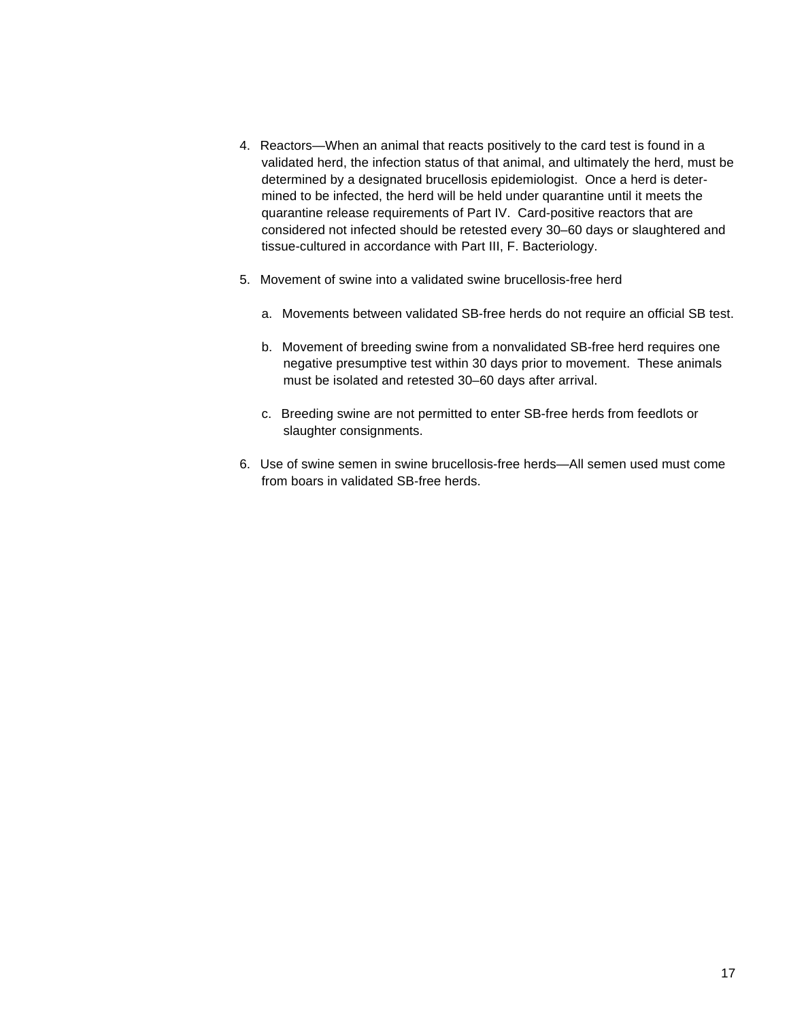- 4. Reactors—When an animal that reacts positively to the card test is found in a validated herd, the infection status of that animal, and ultimately the herd, must be determined by a designated brucellosis epidemiologist. Once a herd is determined to be infected, the herd will be held under quarantine until it meets the quarantine release requirements of Part IV. Card-positive reactors that are considered not infected should be retested every 30–60 days or slaughtered and tissue-cultured in accordance with Part III, F. Bacteriology.
- 5. Movement of swine into a validated swine brucellosis-free herd
	- a. Movements between validated SB-free herds do not require an official SB test.
	- b. Movement of breeding swine from a nonvalidated SB-free herd requires one negative presumptive test within 30 days prior to movement. These animals must be isolated and retested 30–60 days after arrival.
	- c. Breeding swine are not permitted to enter SB-free herds from feedlots or slaughter consignments.
- 6. Use of swine semen in swine brucellosis-free herds—All semen used must come from boars in validated SB-free herds.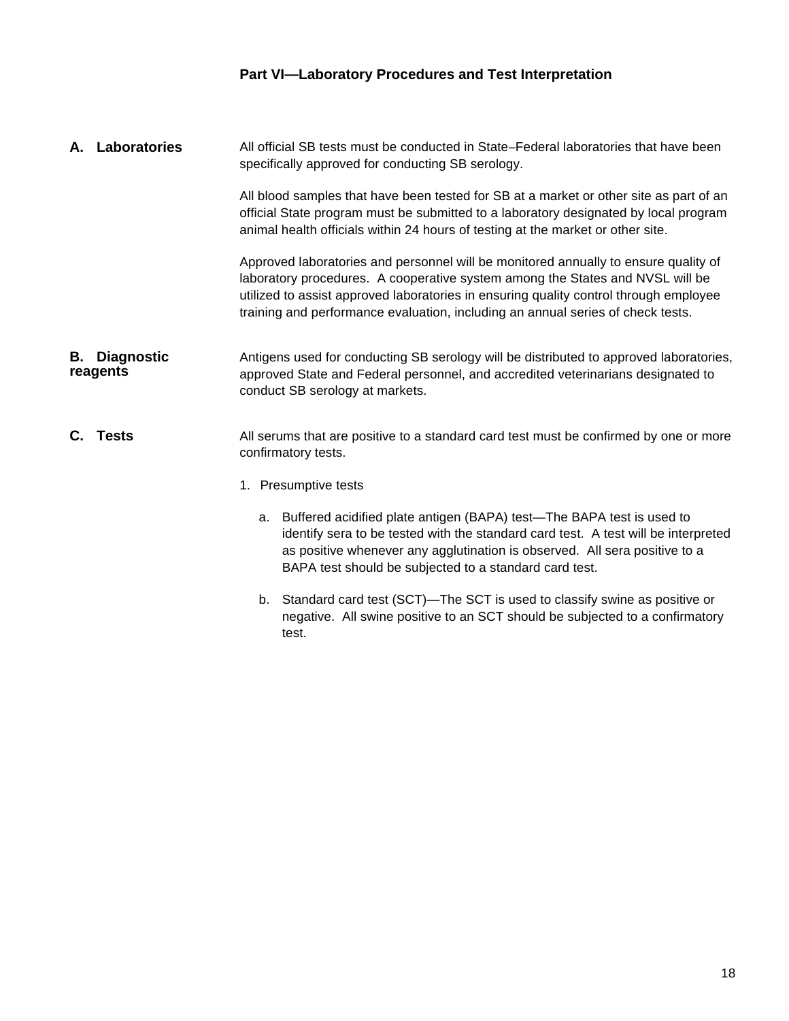## **Part VI—Laboratory Procedures and Test Interpretation**

- All official SB tests must be conducted in State–Federal laboratories that have been specifically approved for conducting SB serology. All blood samples that have been tested for SB at a market or other site as part of an official State program must be submitted to a laboratory designated by local program animal health officials within 24 hours of testing at the market or other site. Approved laboratories and personnel will be monitored annually to ensure quality of laboratory procedures. A cooperative system among the States and NVSL will be utilized to assist approved laboratories in ensuring quality control through employee training and performance evaluation, including an annual series of check tests. Antigens used for conducting SB serology will be distributed to approved laboratories, approved State and Federal personnel, and accredited veterinarians designated to conduct SB serology at markets. All serums that are positive to a standard card test must be confirmed by one or more confirmatory tests. 1. Presumptive tests a. Buffered acidified plate antigen (BAPA) test—The BAPA test is used to identify sera to be tested with the standard card test. A test will be interpreted **A. Laboratories B. Diagnostic reagents C. Tests**
	- as positive whenever any agglutination is observed. All sera positive to a BAPA test should be subjected to a standard card test.
	- b. Standard card test (SCT)—The SCT is used to classify swine as positive or negative. All swine positive to an SCT should be subjected to a confirmatory test.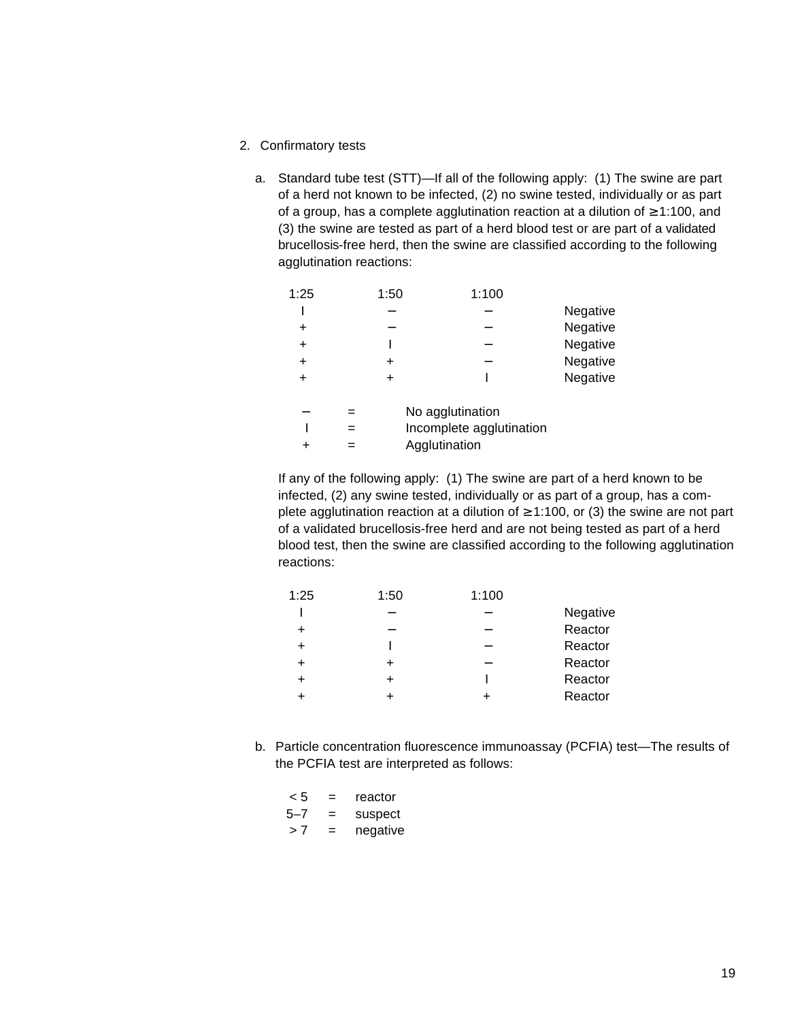- 2. Confirmatory tests
	- a. Standard tube test (STT)—If all of the following apply: (1) The swine are part of a herd not known to be infected, (2) no swine tested, individually or as part of a group, has a complete agglutination reaction at a dilution of ≥ 1:100, and (3) the swine are tested as part of a herd blood test or are part of a validated brucellosis-free herd, then the swine are classified according to the following agglutination reactions:

| 1:25      | 1:50 | 1:100                    |          |
|-----------|------|--------------------------|----------|
|           |      |                          | Negative |
|           |      |                          | Negative |
| $\ddot{}$ |      |                          | Negative |
| $\ddot{}$ |      |                          | Negative |
|           |      |                          | Negative |
|           |      | No agglutination         |          |
|           |      | Incomplete agglutination |          |
|           |      | Agglutination            |          |
|           |      |                          |          |

If any of the following apply: (1) The swine are part of a herd known to be infected, (2) any swine tested, individually or as part of a group, has a complete agglutination reaction at a dilution of  $\geq$  1:100, or (3) the swine are not part of a validated brucellosis-free herd and are not being tested as part of a herd blood test, then the swine are classified according to the following agglutination reactions:

| 1:25   | 1:50 | 1:100 |          |
|--------|------|-------|----------|
|        |      |       | Negative |
| $\div$ |      |       | Reactor  |
|        |      |       | Reactor  |
|        |      |       | Reactor  |
| +      |      |       | Reactor  |
|        |      |       | Reactor  |
|        |      |       |          |

b. Particle concentration fluorescence immunoassay (PCFIA) test—The results of the PCFIA test are interpreted as follows:

| < 5 | = | reactor  |
|-----|---|----------|
| 5–7 | = | suspect  |
| >7  | = | negative |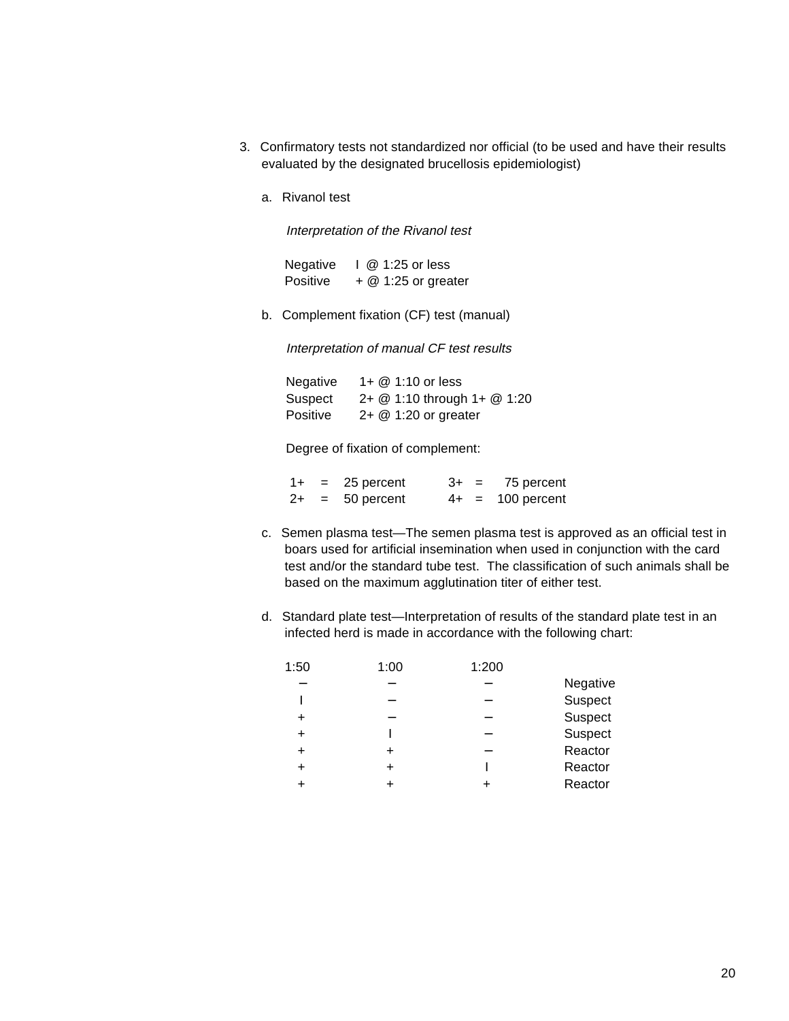- 3. Confirmatory tests not standardized nor official (to be used and have their results evaluated by the designated brucellosis epidemiologist)
	- a. Rivanol test

Interpretation of the Rivanol test

Negative I @ 1:25 or less Positive + @ 1:25 or greater

b. Complement fixation (CF) test (manual)

Interpretation of manual CF test results

Negative 1+ @ 1:10 or less Suspect 2+ @ 1:10 through 1+ @ 1:20 Positive 2+ @ 1:20 or greater

Degree of fixation of complement:

| $1+$ | $=$ | 25 percent     | $3+ =$ | 75 percent         |
|------|-----|----------------|--------|--------------------|
| $2+$ |     | $= 50$ percent |        | $4+ = 100$ percent |

- c. Semen plasma test—The semen plasma test is approved as an official test in boars used for artificial insemination when used in conjunction with the card test and/or the standard tube test. The classification of such animals shall be based on the maximum agglutination titer of either test.
- d. Standard plate test—Interpretation of results of the standard plate test in an infected herd is made in accordance with the following chart:

| 1:50      | 1:00 | 1:200 |          |
|-----------|------|-------|----------|
|           |      |       | Negative |
|           |      |       | Suspect  |
|           |      |       | Suspect  |
| $\div$    |      |       | Suspect  |
| $\ddot{}$ |      |       | Reactor  |
| $\ddot{}$ |      |       | Reactor  |
|           |      |       | Reactor  |
|           |      |       |          |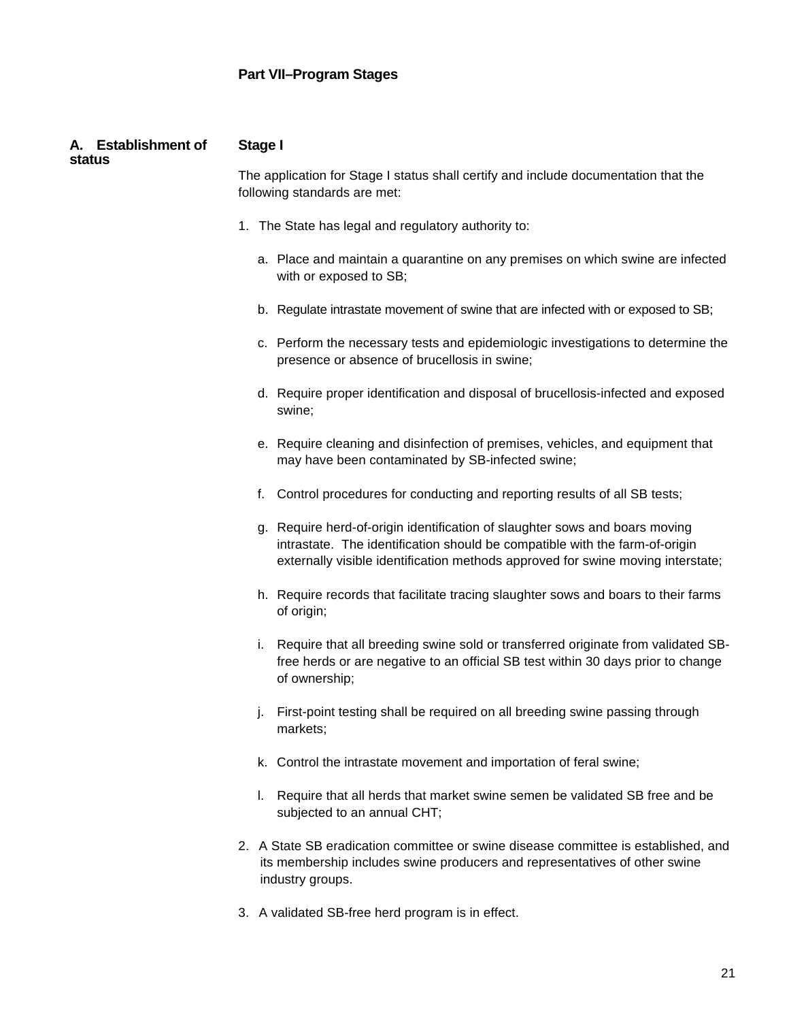| A. Establishment of<br>status | <b>Stage I</b>                                                                                                                                                                                                                                |  |  |  |
|-------------------------------|-----------------------------------------------------------------------------------------------------------------------------------------------------------------------------------------------------------------------------------------------|--|--|--|
|                               | The application for Stage I status shall certify and include documentation that the<br>following standards are met:                                                                                                                           |  |  |  |
|                               | 1. The State has legal and regulatory authority to:                                                                                                                                                                                           |  |  |  |
|                               | a. Place and maintain a quarantine on any premises on which swine are infected<br>with or exposed to SB;                                                                                                                                      |  |  |  |
|                               | b. Regulate intrastate movement of swine that are infected with or exposed to SB;                                                                                                                                                             |  |  |  |
|                               | c. Perform the necessary tests and epidemiologic investigations to determine the<br>presence or absence of brucellosis in swine;                                                                                                              |  |  |  |
|                               | d. Require proper identification and disposal of brucellosis-infected and exposed<br>swine;                                                                                                                                                   |  |  |  |
|                               | e. Require cleaning and disinfection of premises, vehicles, and equipment that<br>may have been contaminated by SB-infected swine;                                                                                                            |  |  |  |
|                               | f. Control procedures for conducting and reporting results of all SB tests;                                                                                                                                                                   |  |  |  |
|                               | g. Require herd-of-origin identification of slaughter sows and boars moving<br>intrastate. The identification should be compatible with the farm-of-origin<br>externally visible identification methods approved for swine moving interstate; |  |  |  |
|                               | h. Require records that facilitate tracing slaughter sows and boars to their farms<br>of origin;                                                                                                                                              |  |  |  |
|                               | i. Require that all breeding swine sold or transferred originate from validated SB-<br>free herds or are negative to an official SB test within 30 days prior to change<br>of ownership;                                                      |  |  |  |
|                               | j. First-point testing shall be required on all breeding swine passing through<br>markets;                                                                                                                                                    |  |  |  |
|                               | k. Control the intrastate movement and importation of feral swine;                                                                                                                                                                            |  |  |  |
|                               | I. Require that all herds that market swine semen be validated SB free and be<br>subjected to an annual CHT;                                                                                                                                  |  |  |  |
|                               | 2. A State SB eradication committee or swine disease committee is established, and<br>its membership includes swine producers and representatives of other swine<br>industry groups.                                                          |  |  |  |

3. A validated SB-free herd program is in effect.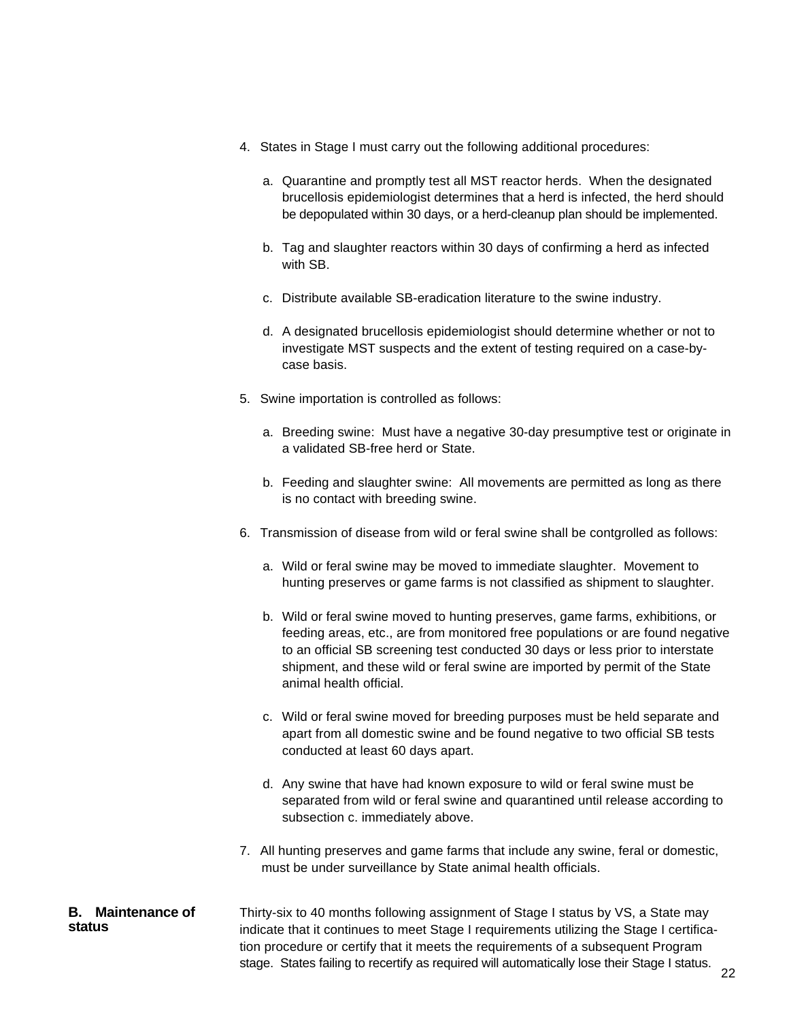- 4. States in Stage I must carry out the following additional procedures:
	- a. Quarantine and promptly test all MST reactor herds. When the designated brucellosis epidemiologist determines that a herd is infected, the herd should be depopulated within 30 days, or a herd-cleanup plan should be implemented.
	- b. Tag and slaughter reactors within 30 days of confirming a herd as infected with SB.
	- c. Distribute available SB-eradication literature to the swine industry.
	- d. A designated brucellosis epidemiologist should determine whether or not to investigate MST suspects and the extent of testing required on a case-bycase basis.
- 5. Swine importation is controlled as follows:
	- a. Breeding swine: Must have a negative 30-day presumptive test or originate in a validated SB-free herd or State.
	- b. Feeding and slaughter swine: All movements are permitted as long as there is no contact with breeding swine.
- 6. Transmission of disease from wild or feral swine shall be contgrolled as follows:
	- a. Wild or feral swine may be moved to immediate slaughter. Movement to hunting preserves or game farms is not classified as shipment to slaughter.
	- b. Wild or feral swine moved to hunting preserves, game farms, exhibitions, or feeding areas, etc., are from monitored free populations or are found negative to an official SB screening test conducted 30 days or less prior to interstate shipment, and these wild or feral swine are imported by permit of the State animal health official.
	- c. Wild or feral swine moved for breeding purposes must be held separate and apart from all domestic swine and be found negative to two official SB tests conducted at least 60 days apart.
	- d. Any swine that have had known exposure to wild or feral swine must be separated from wild or feral swine and quarantined until release according to subsection c. immediately above.
- 7. All hunting preserves and game farms that include any swine, feral or domestic, must be under surveillance by State animal health officials.

#### **B. Maintenance of status**

Thirty-six to 40 months following assignment of Stage I status by VS, a State may indicate that it continues to meet Stage I requirements utilizing the Stage I certification procedure or certify that it meets the requirements of a subsequent Program stage. States failing to recertify as required will automatically lose their Stage I status.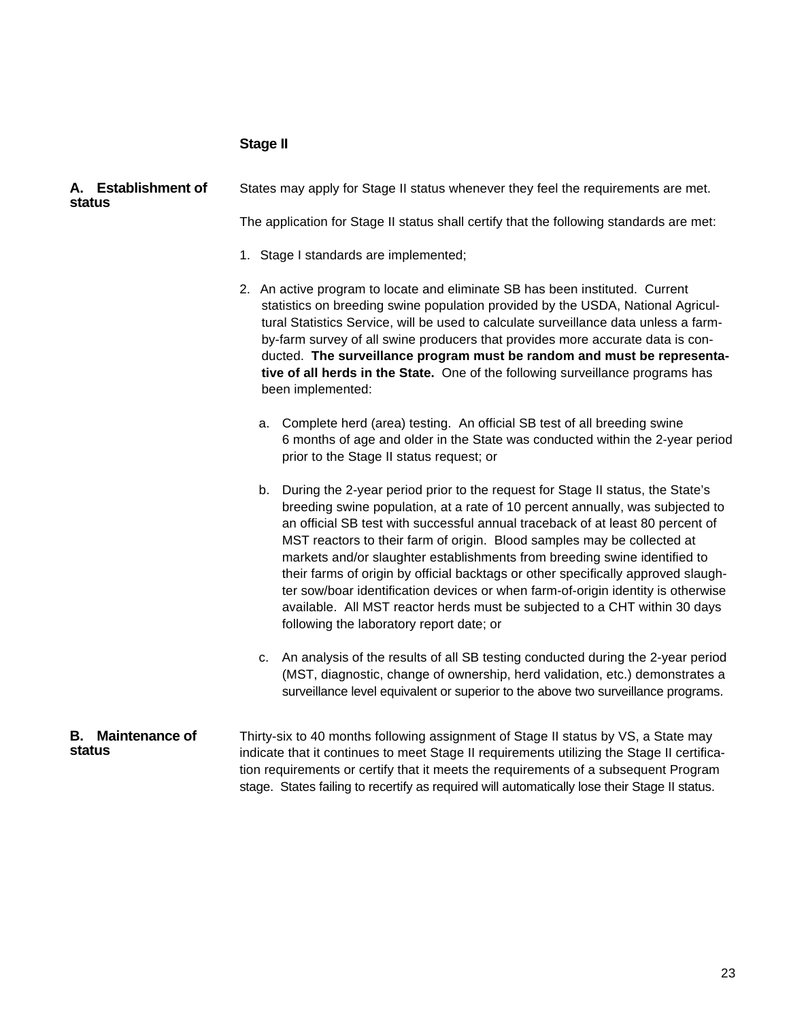#### **Stage II**

#### States may apply for Stage II status whenever they feel the requirements are met. **A. Establishment of status**

The application for Stage II status shall certify that the following standards are met:

- 1. Stage I standards are implemented;
- 2. An active program to locate and eliminate SB has been instituted. Current statistics on breeding swine population provided by the USDA, National Agricultural Statistics Service, will be used to calculate surveillance data unless a farmby-farm survey of all swine producers that provides more accurate data is conducted. **The surveillance program must be random and must be representative of all herds in the State.** One of the following surveillance programs has been implemented:
	- a. Complete herd (area) testing. An official SB test of all breeding swine 6 months of age and older in the State was conducted within the 2-year period prior to the Stage II status request; or
	- b. During the 2-year period prior to the request for Stage II status, the State's breeding swine population, at a rate of 10 percent annually, was subjected to an official SB test with successful annual traceback of at least 80 percent of MST reactors to their farm of origin. Blood samples may be collected at markets and/or slaughter establishments from breeding swine identified to their farms of origin by official backtags or other specifically approved slaughter sow/boar identification devices or when farm-of-origin identity is otherwise available. All MST reactor herds must be subjected to a CHT within 30 days following the laboratory report date; or
	- c. An analysis of the results of all SB testing conducted during the 2-year period (MST, diagnostic, change of ownership, herd validation, etc.) demonstrates a surveillance level equivalent or superior to the above two surveillance programs.

#### Thirty-six to 40 months following assignment of Stage II status by VS, a State may indicate that it continues to meet Stage II requirements utilizing the Stage II certification requirements or certify that it meets the requirements of a subsequent Program stage. States failing to recertify as required will automatically lose their Stage II status. **B. Maintenance of status**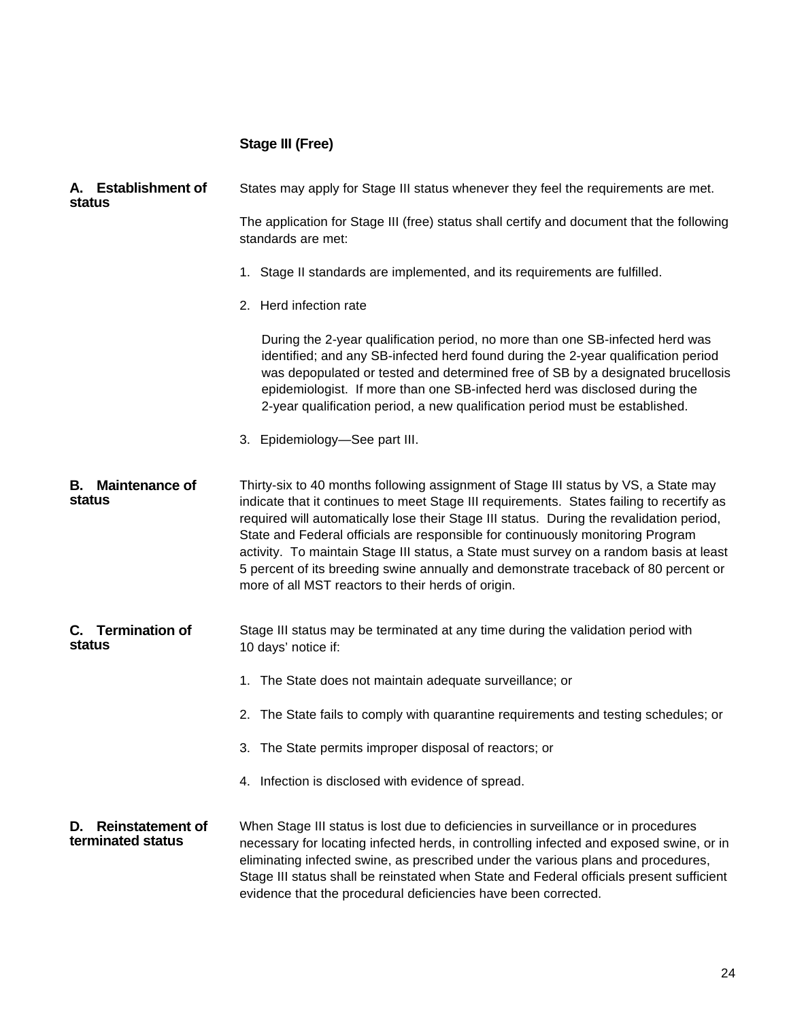# **Stage III (Free)**

| A. Establishment of<br>status                      | States may apply for Stage III status whenever they feel the requirements are met.                                                                                                                                                                                                                                                                                                                                                                                                                                                                                                                     |
|----------------------------------------------------|--------------------------------------------------------------------------------------------------------------------------------------------------------------------------------------------------------------------------------------------------------------------------------------------------------------------------------------------------------------------------------------------------------------------------------------------------------------------------------------------------------------------------------------------------------------------------------------------------------|
|                                                    | The application for Stage III (free) status shall certify and document that the following<br>standards are met:                                                                                                                                                                                                                                                                                                                                                                                                                                                                                        |
|                                                    | 1. Stage II standards are implemented, and its requirements are fulfilled.                                                                                                                                                                                                                                                                                                                                                                                                                                                                                                                             |
|                                                    | 2. Herd infection rate                                                                                                                                                                                                                                                                                                                                                                                                                                                                                                                                                                                 |
|                                                    | During the 2-year qualification period, no more than one SB-infected herd was<br>identified; and any SB-infected herd found during the 2-year qualification period<br>was depopulated or tested and determined free of SB by a designated brucellosis<br>epidemiologist. If more than one SB-infected herd was disclosed during the<br>2-year qualification period, a new qualification period must be established.                                                                                                                                                                                    |
|                                                    | 3. Epidemiology-See part III.                                                                                                                                                                                                                                                                                                                                                                                                                                                                                                                                                                          |
| <b>Maintenance of</b><br>В.<br>status              | Thirty-six to 40 months following assignment of Stage III status by VS, a State may<br>indicate that it continues to meet Stage III requirements. States failing to recertify as<br>required will automatically lose their Stage III status. During the revalidation period,<br>State and Federal officials are responsible for continuously monitoring Program<br>activity. To maintain Stage III status, a State must survey on a random basis at least<br>5 percent of its breeding swine annually and demonstrate traceback of 80 percent or<br>more of all MST reactors to their herds of origin. |
| C. Termination of<br>status                        | Stage III status may be terminated at any time during the validation period with<br>10 days' notice if:                                                                                                                                                                                                                                                                                                                                                                                                                                                                                                |
|                                                    | 1. The State does not maintain adequate surveillance; or                                                                                                                                                                                                                                                                                                                                                                                                                                                                                                                                               |
|                                                    | 2. The State fails to comply with quarantine requirements and testing schedules; or                                                                                                                                                                                                                                                                                                                                                                                                                                                                                                                    |
|                                                    | 3. The State permits improper disposal of reactors; or                                                                                                                                                                                                                                                                                                                                                                                                                                                                                                                                                 |
|                                                    | 4. Infection is disclosed with evidence of spread.                                                                                                                                                                                                                                                                                                                                                                                                                                                                                                                                                     |
| <b>Reinstatement of</b><br>D.<br>terminated status | When Stage III status is lost due to deficiencies in surveillance or in procedures<br>necessary for locating infected herds, in controlling infected and exposed swine, or in<br>eliminating infected swine, as prescribed under the various plans and procedures,<br>Stage III status shall be reinstated when State and Federal officials present sufficient<br>evidence that the procedural deficiencies have been corrected.                                                                                                                                                                       |